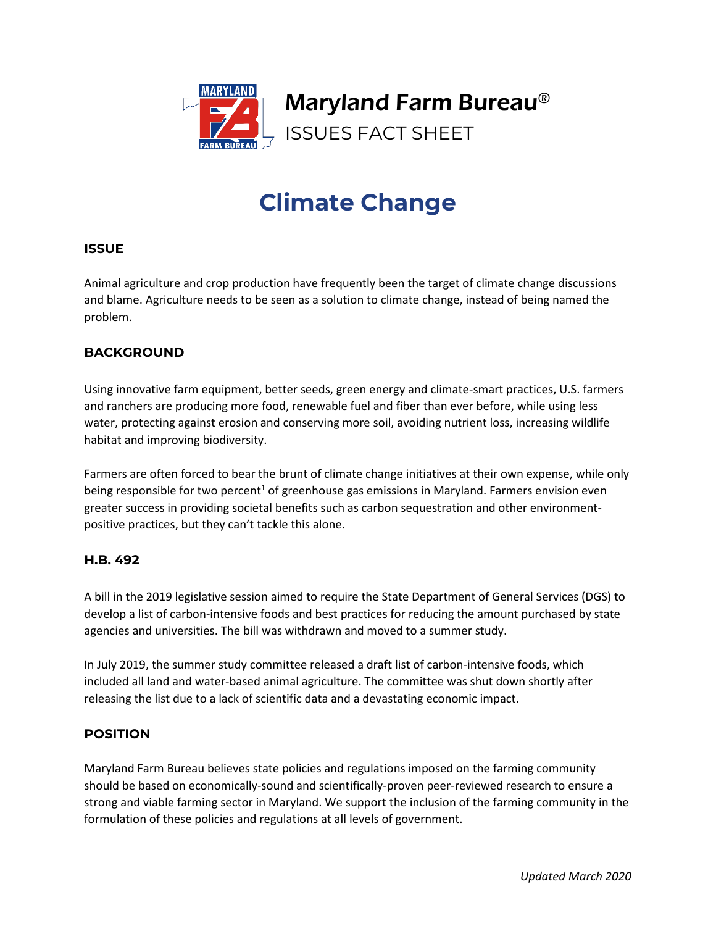

# **Climate Change**

#### **ISSUE**

Animal agriculture and crop production have frequently been the target of climate change discussions and blame. Agriculture needs to be seen as a solution to climate change, instead of being named the problem.

### **BACKGROUND**

Using innovative farm equipment, better seeds, green energy and climate-smart practices, U.S. farmers and ranchers are producing more food, renewable fuel and fiber than ever before, while using less water, protecting against erosion and conserving more soil, avoiding nutrient loss, increasing wildlife habitat and improving biodiversity.

Farmers are often forced to bear the brunt of climate change initiatives at their own expense, while only being responsible for two percent<sup>1</sup> of greenhouse gas emissions in Maryland. Farmers envision even greater success in providing societal benefits such as carbon sequestration and other environmentpositive practices, but they can't tackle this alone.

#### **H.B. 492**

A bill in the 2019 legislative session aimed to require the State Department of General Services (DGS) to develop a list of carbon-intensive foods and best practices for reducing the amount purchased by state agencies and universities. The bill was withdrawn and moved to a summer study.

In July 2019, the summer study committee released a draft list of carbon-intensive foods, which included all land and water-based animal agriculture. The committee was shut down shortly after releasing the list due to a lack of scientific data and a devastating economic impact.

## **POSITION**

Maryland Farm Bureau believes state policies and regulations imposed on the farming community should be based on economically-sound and scientifically-proven peer-reviewed research to ensure a strong and viable farming sector in Maryland. We support the inclusion of the farming community in the formulation of these policies and regulations at all levels of government.